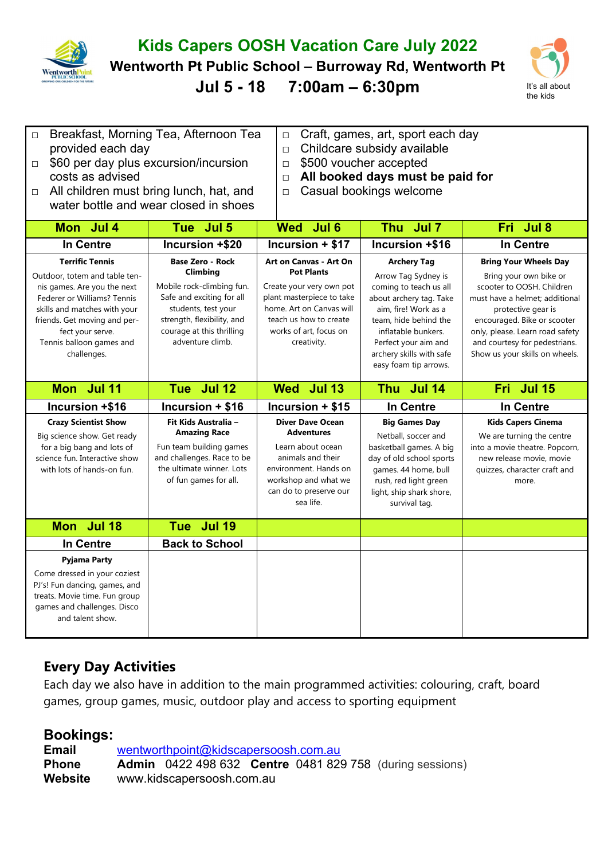

## **Kids Capers OOSH Vacation Care July 2022**

**Wentworth Pt Public School – Burroway Rd, Wentworth Pt**

**Jul 5 - 18 7:00am – 6:30pm** It's all about



| $\Box$<br>provided each day<br>$\Box$<br>costs as advised<br>$\Box$                                                                                                                                                                                  | Breakfast, Morning Tea, Afternoon Tea<br>Craft, games, art, sport each day<br>$\Box$<br>Childcare subsidy available<br>$\Box$<br>\$60 per day plus excursion/incursion<br>\$500 voucher accepted<br>$\Box$<br>All booked days must be paid for<br>$\Box$<br>All children must bring lunch, hat, and<br>Casual bookings welcome<br>$\Box$<br>water bottle and wear closed in shoes |                                                                                                                                                                                                            |                                                                                                                                                                                                                                                     |                                                                                                                                                                                                                                                                                  |
|------------------------------------------------------------------------------------------------------------------------------------------------------------------------------------------------------------------------------------------------------|-----------------------------------------------------------------------------------------------------------------------------------------------------------------------------------------------------------------------------------------------------------------------------------------------------------------------------------------------------------------------------------|------------------------------------------------------------------------------------------------------------------------------------------------------------------------------------------------------------|-----------------------------------------------------------------------------------------------------------------------------------------------------------------------------------------------------------------------------------------------------|----------------------------------------------------------------------------------------------------------------------------------------------------------------------------------------------------------------------------------------------------------------------------------|
| Mon Jul 4                                                                                                                                                                                                                                            | Tue Jul 5                                                                                                                                                                                                                                                                                                                                                                         | Wed Jul 6                                                                                                                                                                                                  | Thu Jul 7                                                                                                                                                                                                                                           | Fri Jul 8                                                                                                                                                                                                                                                                        |
| In Centre                                                                                                                                                                                                                                            | Incursion +\$20                                                                                                                                                                                                                                                                                                                                                                   | Incursion + \$17                                                                                                                                                                                           | Incursion +\$16                                                                                                                                                                                                                                     | <b>In Centre</b>                                                                                                                                                                                                                                                                 |
| <b>Terrific Tennis</b><br>Outdoor, totem and table ten-<br>nis games. Are you the next<br>Federer or Williams? Tennis<br>skills and matches with your<br>friends. Get moving and per-<br>fect your serve.<br>Tennis balloon games and<br>challenges. | <b>Base Zero - Rock</b><br>Climbing<br>Mobile rock-climbing fun.<br>Safe and exciting for all<br>students, test your<br>strength, flexibility, and<br>courage at this thrilling<br>adventure climb.                                                                                                                                                                               | <b>Art on Canvas - Art On</b><br><b>Pot Plants</b><br>Create your very own pot<br>plant masterpiece to take<br>home. Art on Canvas will<br>teach us how to create<br>works of art, focus on<br>creativity. | <b>Archery Tag</b><br>Arrow Tag Sydney is<br>coming to teach us all<br>about archery tag. Take<br>aim, fire! Work as a<br>team, hide behind the<br>inflatable bunkers.<br>Perfect your aim and<br>archery skills with safe<br>easy foam tip arrows. | <b>Bring Your Wheels Day</b><br>Bring your own bike or<br>scooter to OOSH. Children<br>must have a helmet: additional<br>protective gear is<br>encouraged. Bike or scooter<br>only, please. Learn road safety<br>and courtesy for pedestrians.<br>Show us your skills on wheels. |
|                                                                                                                                                                                                                                                      |                                                                                                                                                                                                                                                                                                                                                                                   |                                                                                                                                                                                                            |                                                                                                                                                                                                                                                     |                                                                                                                                                                                                                                                                                  |
| Mon Jul 11                                                                                                                                                                                                                                           | Tue Jul 12                                                                                                                                                                                                                                                                                                                                                                        | Wed Jul 13                                                                                                                                                                                                 | Thu Jul 14                                                                                                                                                                                                                                          | Fri Jul 15                                                                                                                                                                                                                                                                       |
| Incursion +\$16                                                                                                                                                                                                                                      | Incursion + \$16                                                                                                                                                                                                                                                                                                                                                                  | Incursion + \$15                                                                                                                                                                                           | <b>In Centre</b>                                                                                                                                                                                                                                    | <b>In Centre</b>                                                                                                                                                                                                                                                                 |
| <b>Crazy Scientist Show</b><br>Big science show. Get ready<br>for a big bang and lots of<br>science fun. Interactive show<br>with lots of hands-on fun.                                                                                              | Fit Kids Australia -<br><b>Amazing Race</b><br>Fun team building games<br>and challenges. Race to be<br>the ultimate winner. Lots<br>of fun games for all.                                                                                                                                                                                                                        | <b>Diver Dave Ocean</b><br><b>Adventures</b><br>Learn about ocean<br>animals and their<br>environment. Hands on<br>workshop and what we<br>can do to preserve our<br>sea life.                             | <b>Big Games Day</b><br>Netball, soccer and<br>basketball games. A big<br>day of old school sports<br>games. 44 home, bull<br>rush, red light green<br>light, ship shark shore,<br>survival tag.                                                    | <b>Kids Capers Cinema</b><br>We are turning the centre<br>into a movie theatre. Popcorn,<br>new release movie, movie<br>quizzes, character craft and<br>more.                                                                                                                    |
| Mon Jul 18                                                                                                                                                                                                                                           | Tue Jul 19                                                                                                                                                                                                                                                                                                                                                                        |                                                                                                                                                                                                            |                                                                                                                                                                                                                                                     |                                                                                                                                                                                                                                                                                  |
| <b>In Centre</b>                                                                                                                                                                                                                                     | <b>Back to School</b>                                                                                                                                                                                                                                                                                                                                                             |                                                                                                                                                                                                            |                                                                                                                                                                                                                                                     |                                                                                                                                                                                                                                                                                  |

## **Every Day Activities**

Each day we also have in addition to the main programmed activities: colouring, craft, board games, group games, music, outdoor play and access to sporting equipment

## **Bookings:**

Come dressed in your coziest PJ's! Fun dancing, games, and treats. Movie time. Fun group games and challenges. Disco and talent show.

| <b>Email</b>   | wentworthpoint@kidscapersoosh.com.au |                           |  |  |  |                                                                        |  |
|----------------|--------------------------------------|---------------------------|--|--|--|------------------------------------------------------------------------|--|
| <b>Phone</b>   |                                      |                           |  |  |  | <b>Admin</b> 0422 498 632 <b>Centre</b> 0481 829 758 (during sessions) |  |
| <b>Website</b> |                                      | www.kidscapersoosh.com.au |  |  |  |                                                                        |  |